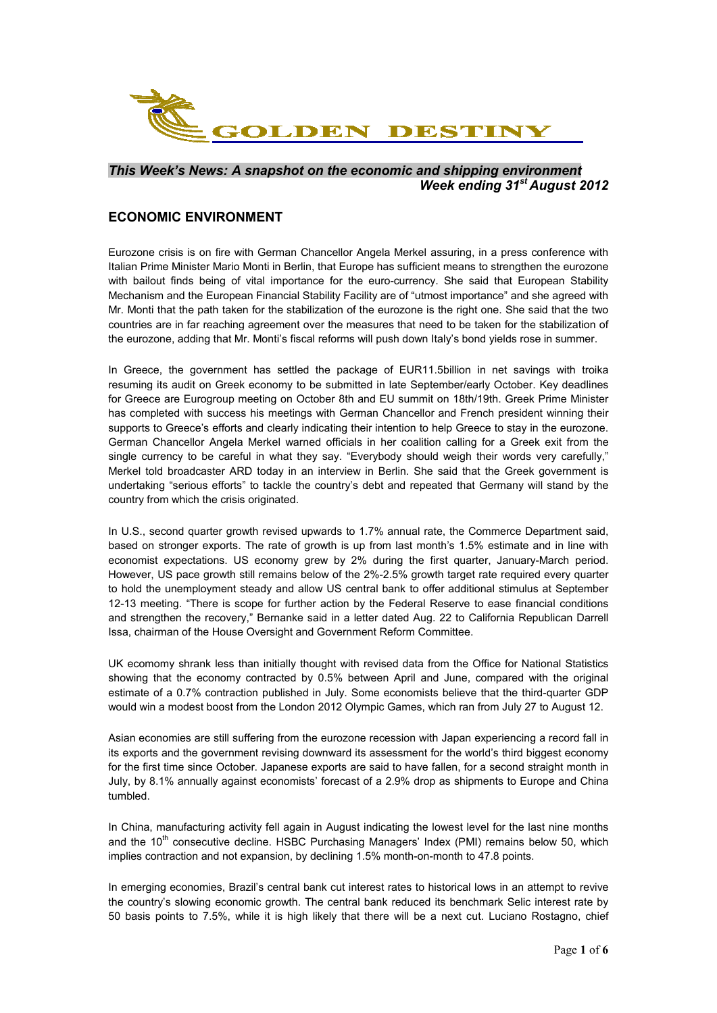

## *This Week's News: A snapshot on the economic and shipping environment Week ending 31st August 2012*

## **ECONOMIC ENVIRONMENT**

Eurozone crisis is on fire with German Chancellor Angela Merkel assuring, in a press conference with Italian Prime Minister Mario Monti in Berlin, that Europe has sufficient means to strengthen the eurozone with bailout finds being of vital importance for the euro-currency. She said that European Stability Mechanism and the European Financial Stability Facility are of "utmost importance" and she agreed with Mr. Monti that the path taken for the stabilization of the eurozone is the right one. She said that the two countries are in far reaching agreement over the measures that need to be taken for the stabilization of the eurozone, adding that Mr. Monti's fiscal reforms will push down Italy's bond yields rose in summer.

In Greece, the government has settled the package of EUR11.5billion in net savings with troika resuming its audit on Greek economy to be submitted in late September/early October. Key deadlines for Greece are Eurogroup meeting on October 8th and EU summit on 18th/19th. Greek Prime Minister has completed with success his meetings with German Chancellor and French president winning their supports to Greece's efforts and clearly indicating their intention to help Greece to stay in the eurozone. German Chancellor Angela Merkel warned officials in her coalition calling for a Greek exit from the single currency to be careful in what they say. "Everybody should weigh their words very carefully," Merkel told broadcaster ARD today in an interview in Berlin. She said that the Greek government is undertaking "serious efforts" to tackle the country's debt and repeated that Germany will stand by the country from which the crisis originated.

In U.S., second quarter growth revised upwards to 1.7% annual rate, the Commerce Department said, based on stronger exports. The rate of growth is up from last month's 1.5% estimate and in line with economist expectations. US economy grew by 2% during the first quarter, January-March period. However, US pace growth still remains below of the 2%-2.5% growth target rate required every quarter to hold the unemployment steady and allow US central bank to offer additional stimulus at September 12-13 meeting. "There is scope for further action by the Federal Reserve to ease financial conditions and strengthen the recovery," Bernanke said in a letter dated Aug. 22 to California Republican Darrell Issa, chairman of the House Oversight and Government Reform Committee.

UK ecomomy shrank less than initially thought with revised data from the Office for National Statistics showing that the economy contracted by 0.5% between April and June, compared with the original estimate of a 0.7% contraction published in July. Some economists believe that the third-quarter GDP would win a modest boost from the London 2012 Olympic Games, which ran from July 27 to August 12.

Asian economies are still suffering from the eurozone recession with Japan experiencing a record fall in its exports and the government revising downward its assessment for the world's third biggest economy for the first time since October. Japanese exports are said to have fallen, for a second straight month in July, by 8.1% annually against economists' forecast of a 2.9% drop as shipments to Europe and China tumbled.

In China, manufacturing activity fell again in August indicating the lowest level for the last nine months and the  $10<sup>th</sup>$  consecutive decline. HSBC Purchasing Managers' Index (PMI) remains below 50, which implies contraction and not expansion, by declining 1.5% month-on-month to 47.8 points.

In emerging economies, Brazil's central bank cut interest rates to historical lows in an attempt to revive the country's slowing economic growth. The central bank reduced its benchmark Selic interest rate by 50 basis points to 7.5%, while it is high likely that there will be a next cut. Luciano Rostagno, chief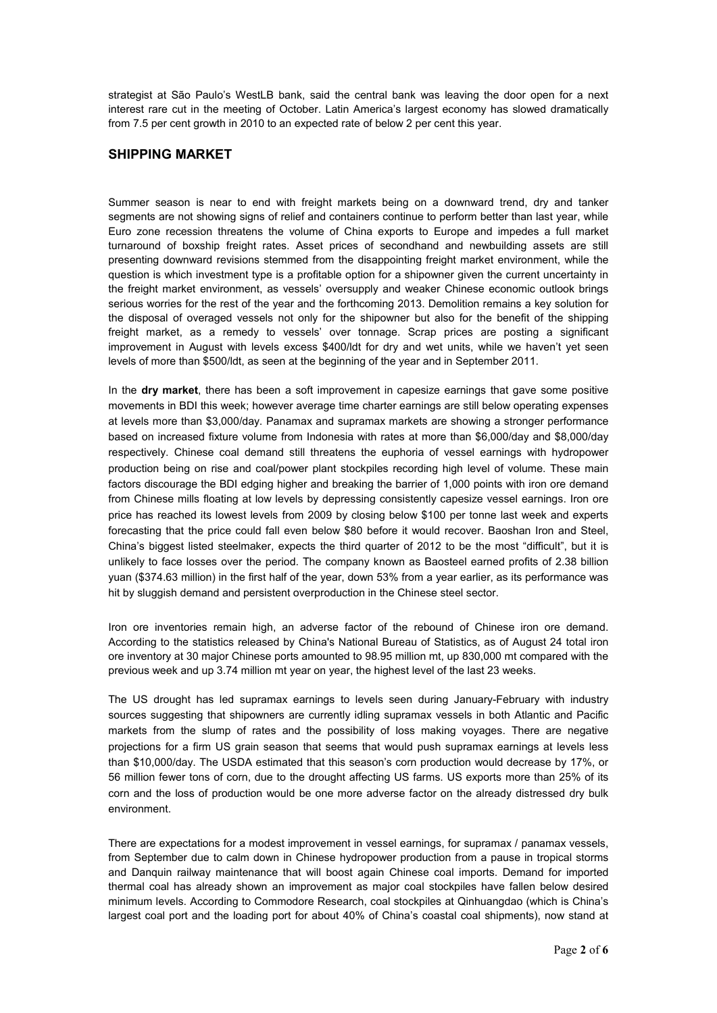strategist at São Paulo's WestLB bank, said the central bank was leaving the door open for a next interest rare cut in the meeting of October. Latin America's largest economy has slowed dramatically from 7.5 per cent growth in 2010 to an expected rate of below 2 per cent this year.

## **SHIPPING MARKET**

Summer season is near to end with freight markets being on a downward trend, dry and tanker segments are not showing signs of relief and containers continue to perform better than last year, while Euro zone recession threatens the volume of China exports to Europe and impedes a full market turnaround of boxship freight rates. Asset prices of secondhand and newbuilding assets are still presenting downward revisions stemmed from the disappointing freight market environment, while the question is which investment type is a profitable option for a shipowner given the current uncertainty in the freight market environment, as vessels' oversupply and weaker Chinese economic outlook brings serious worries for the rest of the year and the forthcoming 2013. Demolition remains a key solution for the disposal of overaged vessels not only for the shipowner but also for the benefit of the shipping freight market, as a remedy to vessels' over tonnage. Scrap prices are posting a significant improvement in August with levels excess \$400/ldt for dry and wet units, while we haven't yet seen levels of more than \$500/ldt, as seen at the beginning of the year and in September 2011.

In the **dry market**, there has been a soft improvement in capesize earnings that gave some positive movements in BDI this week; however average time charter earnings are still below operating expenses at levels more than \$3,000/day. Panamax and supramax markets are showing a stronger performance based on increased fixture volume from Indonesia with rates at more than \$6,000/day and \$8,000/day respectively. Chinese coal demand still threatens the euphoria of vessel earnings with hydropower production being on rise and coal/power plant stockpiles recording high level of volume. These main factors discourage the BDI edging higher and breaking the barrier of 1,000 points with iron ore demand from Chinese mills floating at low levels by depressing consistently capesize vessel earnings. Iron ore price has reached its lowest levels from 2009 by closing below \$100 per tonne last week and experts forecasting that the price could fall even below \$80 before it would recover. Baoshan Iron and Steel, China's biggest listed steelmaker, expects the third quarter of 2012 to be the most "difficult", but it is unlikely to face losses over the period. The company known as Baosteel earned profits of 2.38 billion yuan (\$374.63 million) in the first half of the year, down 53% from a year earlier, as its performance was hit by sluggish demand and persistent overproduction in the Chinese steel sector.

Iron ore inventories remain high, an adverse factor of the rebound of Chinese iron ore demand. According to the statistics released by China's National Bureau of Statistics, as of August 24 total iron ore inventory at 30 major Chinese ports amounted to 98.95 million mt, up 830,000 mt compared with the previous week and up 3.74 million mt year on year, the highest level of the last 23 weeks.

The US drought has led supramax earnings to levels seen during January-February with industry sources suggesting that shipowners are currently idling supramax vessels in both Atlantic and Pacific markets from the slump of rates and the possibility of loss making voyages. There are negative projections for a firm US grain season that seems that would push supramax earnings at levels less than \$10,000/day. The USDA estimated that this season's corn production would decrease by 17%, or 56 million fewer tons of corn, due to the drought affecting US farms. US exports more than 25% of its corn and the loss of production would be one more adverse factor on the already distressed dry bulk environment.

There are expectations for a modest improvement in vessel earnings, for supramax / panamax vessels, from September due to calm down in Chinese hydropower production from a pause in tropical storms and Danquin railway maintenance that will boost again Chinese coal imports. Demand for imported thermal coal has already shown an improvement as major coal stockpiles have fallen below desired minimum levels. According to Commodore Research, coal stockpiles at Qinhuangdao (which is China's largest coal port and the loading port for about 40% of China's coastal coal shipments), now stand at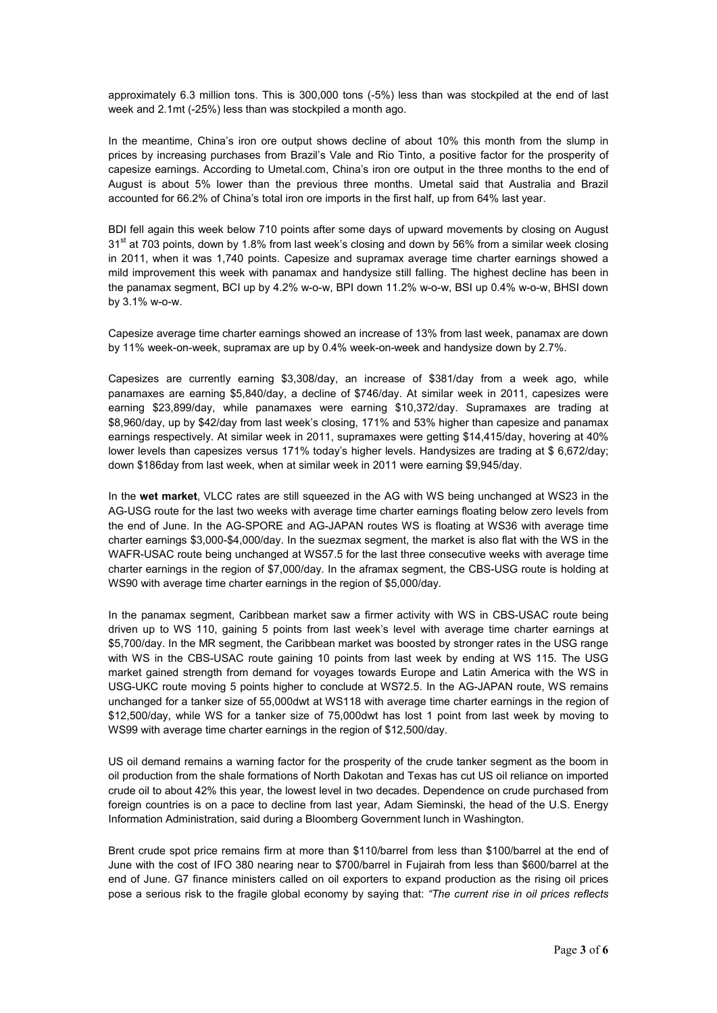approximately 6.3 million tons. This is 300,000 tons (-5%) less than was stockpiled at the end of last week and 2.1mt (-25%) less than was stockpiled a month ago.

In the meantime, China's iron ore output shows decline of about 10% this month from the slump in prices by increasing purchases from Brazil's Vale and Rio Tinto, a positive factor for the prosperity of capesize earnings. According to Umetal.com, China's iron ore output in the three months to the end of August is about 5% lower than the previous three months. Umetal said that Australia and Brazil accounted for 66.2% of China's total iron ore imports in the first half, up from 64% last year.

BDI fell again this week below 710 points after some days of upward movements by closing on August  $31<sup>st</sup>$  at 703 points, down by 1.8% from last week's closing and down by 56% from a similar week closing in 2011, when it was 1,740 points. Capesize and supramax average time charter earnings showed a mild improvement this week with panamax and handysize still falling. The highest decline has been in the panamax segment, BCI up by 4.2% w-o-w, BPI down 11.2% w-o-w, BSI up 0.4% w-o-w, BHSI down by 3.1% w-o-w.

Capesize average time charter earnings showed an increase of 13% from last week, panamax are down by 11% week-on-week, supramax are up by 0.4% week-on-week and handysize down by 2.7%.

Capesizes are currently earning \$3,308/day, an increase of \$381/day from a week ago, while panamaxes are earning \$5,840/day, a decline of \$746/day. At similar week in 2011, capesizes were earning \$23,899/day, while panamaxes were earning \$10,372/day. Supramaxes are trading at \$8,960/day, up by \$42/day from last week's closing, 171% and 53% higher than capesize and panamax earnings respectively. At similar week in 2011, supramaxes were getting \$14,415/day, hovering at 40% lower levels than capesizes versus 171% today's higher levels. Handysizes are trading at \$ 6,672/day; down \$186day from last week, when at similar week in 2011 were earning \$9,945/day.

In the **wet market**, VLCC rates are still squeezed in the AG with WS being unchanged at WS23 in the AG-USG route for the last two weeks with average time charter earnings floating below zero levels from the end of June. In the AG-SPORE and AG-JAPAN routes WS is floating at WS36 with average time charter earnings \$3,000-\$4,000/day. In the suezmax segment, the market is also flat with the WS in the WAFR-USAC route being unchanged at WS57.5 for the last three consecutive weeks with average time charter earnings in the region of \$7,000/day. In the aframax segment, the CBS-USG route is holding at WS90 with average time charter earnings in the region of \$5,000/day.

In the panamax segment, Caribbean market saw a firmer activity with WS in CBS-USAC route being driven up to WS 110, gaining 5 points from last week's level with average time charter earnings at \$5,700/day. In the MR segment, the Caribbean market was boosted by stronger rates in the USG range with WS in the CBS-USAC route gaining 10 points from last week by ending at WS 115. The USG market gained strength from demand for voyages towards Europe and Latin America with the WS in USG-UKC route moving 5 points higher to conclude at WS72.5. In the AG-JAPAN route, WS remains unchanged for a tanker size of 55,000dwt at WS118 with average time charter earnings in the region of \$12,500/day, while WS for a tanker size of 75,000dwt has lost 1 point from last week by moving to WS99 with average time charter earnings in the region of \$12,500/day.

US oil demand remains a warning factor for the prosperity of the crude tanker segment as the boom in oil production from the shale formations of North Dakotan and Texas has cut US oil reliance on imported crude oil to about 42% this year, the lowest level in two decades. Dependence on crude purchased from foreign countries is on a pace to decline from last year, Adam Sieminski, the head of the U.S. Energy Information Administration, said during a Bloomberg Government lunch in Washington.

Brent crude spot price remains firm at more than \$110/barrel from less than \$100/barrel at the end of June with the cost of IFO 380 nearing near to \$700/barrel in Fujairah from less than \$600/barrel at the end of June. G7 finance ministers called on oil exporters to expand production as the rising oil prices pose a serious risk to the fragile global economy by saying that: *"The current rise in oil prices reflects*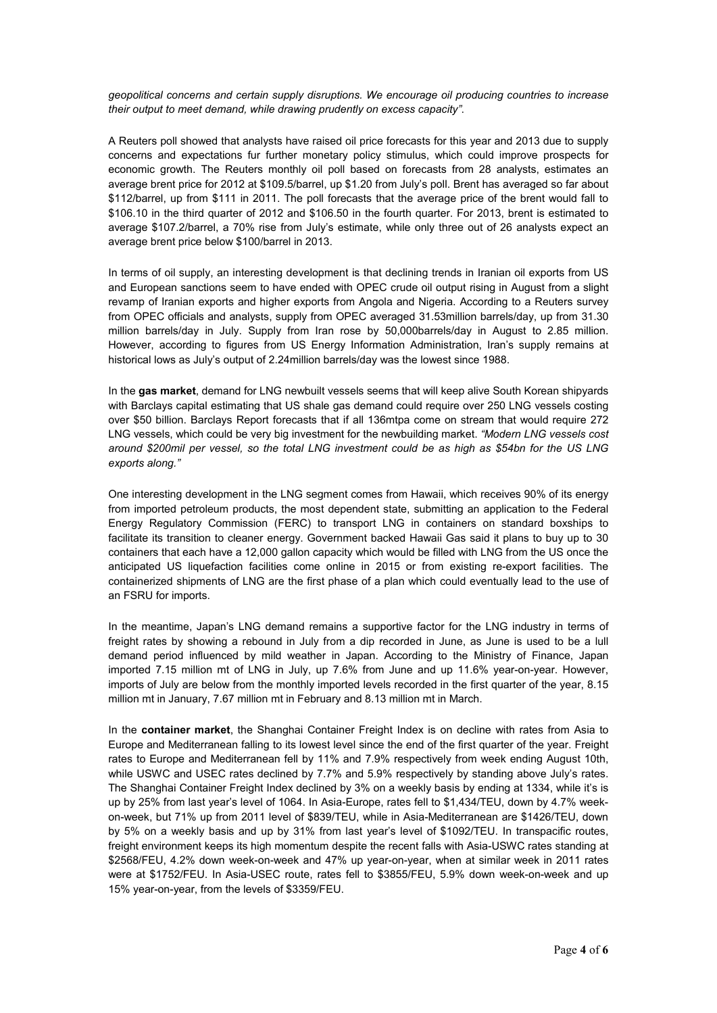*geopolitical concerns and certain supply disruptions. We encourage oil producing countries to increase their output to meet demand, while drawing prudently on excess capacity"*.

A Reuters poll showed that analysts have raised oil price forecasts for this year and 2013 due to supply concerns and expectations fur further monetary policy stimulus, which could improve prospects for economic growth. The Reuters monthly oil poll based on forecasts from 28 analysts, estimates an average brent price for 2012 at \$109.5/barrel, up \$1.20 from July's poll. Brent has averaged so far about \$112/barrel, up from \$111 in 2011. The poll forecasts that the average price of the brent would fall to \$106.10 in the third quarter of 2012 and \$106.50 in the fourth quarter. For 2013, brent is estimated to average \$107.2/barrel, a 70% rise from July's estimate, while only three out of 26 analysts expect an average brent price below \$100/barrel in 2013.

In terms of oil supply, an interesting development is that declining trends in Iranian oil exports from US and European sanctions seem to have ended with OPEC crude oil output rising in August from a slight revamp of Iranian exports and higher exports from Angola and Nigeria. According to a Reuters survey from OPEC officials and analysts, supply from OPEC averaged 31.53million barrels/day, up from 31.30 million barrels/day in July. Supply from Iran rose by 50,000barrels/day in August to 2.85 million. However, according to figures from US Energy Information Administration, Iran's supply remains at historical lows as July's output of 2.24million barrels/day was the lowest since 1988.

In the **gas market**, demand for LNG newbuilt vessels seems that will keep alive South Korean shipyards with Barclays capital estimating that US shale gas demand could require over 250 LNG vessels costing over \$50 billion. Barclays Report forecasts that if all 136mtpa come on stream that would require 272 LNG vessels, which could be very big investment for the newbuilding market. *"Modern LNG vessels cost around \$200mil per vessel, so the total LNG investment could be as high as \$54bn for the US LNG exports along."* 

One interesting development in the LNG segment comes from Hawaii, which receives 90% of its energy from imported petroleum products, the most dependent state, submitting an application to the Federal Energy Regulatory Commission (FERC) to transport LNG in containers on standard boxships to facilitate its transition to cleaner energy. Government backed Hawaii Gas said it plans to buy up to 30 containers that each have a 12,000 gallon capacity which would be filled with LNG from the US once the anticipated US liquefaction facilities come online in 2015 or from existing re-export facilities. The containerized shipments of LNG are the first phase of a plan which could eventually lead to the use of an FSRU for imports.

In the meantime, Japan's LNG demand remains a supportive factor for the LNG industry in terms of freight rates by showing a rebound in July from a dip recorded in June, as June is used to be a lull demand period influenced by mild weather in Japan. According to the Ministry of Finance, Japan imported 7.15 million mt of LNG in July, up 7.6% from June and up 11.6% year-on-year. However, imports of July are below from the monthly imported levels recorded in the first quarter of the year, 8.15 million mt in January, 7.67 million mt in February and 8.13 million mt in March.

In the **container market**, the Shanghai Container Freight Index is on decline with rates from Asia to Europe and Mediterranean falling to its lowest level since the end of the first quarter of the year. Freight rates to Europe and Mediterranean fell by 11% and 7.9% respectively from week ending August 10th, while USWC and USEC rates declined by 7.7% and 5.9% respectively by standing above July's rates. The Shanghai Container Freight Index declined by 3% on a weekly basis by ending at 1334, while it's is up by 25% from last year's level of 1064. In Asia-Europe, rates fell to \$1,434/TEU, down by 4.7% weekon-week, but 71% up from 2011 level of \$839/TEU, while in Asia-Mediterranean are \$1426/TEU, down by 5% on a weekly basis and up by 31% from last year's level of \$1092/TEU. In transpacific routes, freight environment keeps its high momentum despite the recent falls with Asia-USWC rates standing at \$2568/FEU, 4.2% down week-on-week and 47% up year-on-year, when at similar week in 2011 rates were at \$1752/FEU. In Asia-USEC route, rates fell to \$3855/FEU, 5.9% down week-on-week and up 15% year-on-year, from the levels of \$3359/FEU.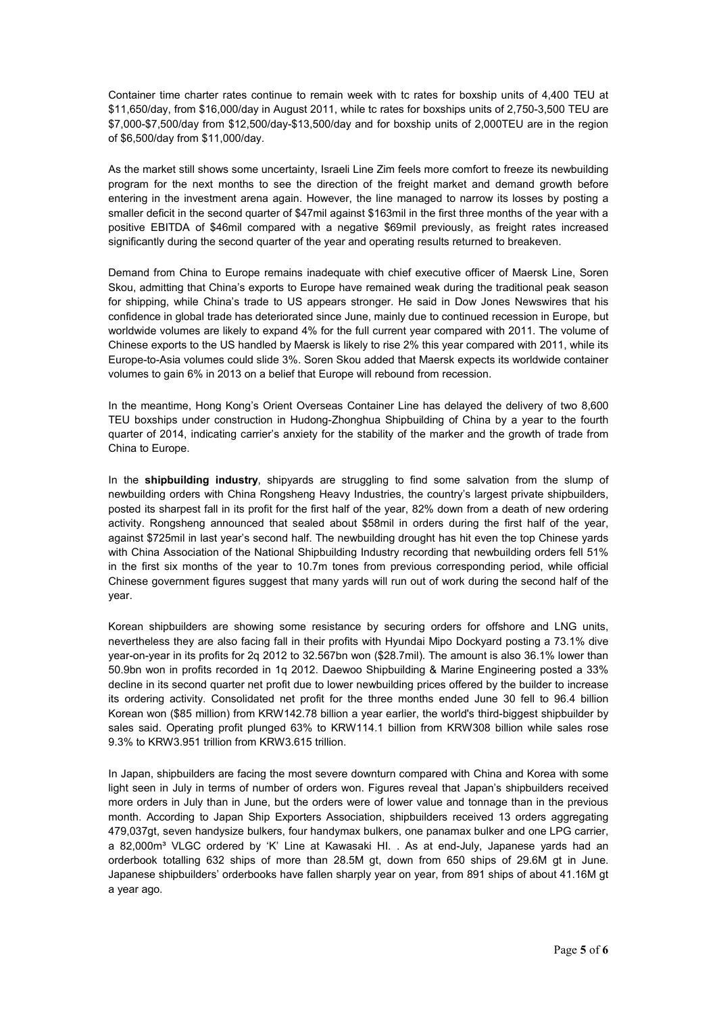Container time charter rates continue to remain week with tc rates for boxship units of 4,400 TEU at \$11,650/day, from \$16,000/day in August 2011, while tc rates for boxships units of 2,750-3,500 TEU are \$7,000-\$7,500/day from \$12,500/day-\$13,500/day and for boxship units of 2,000TEU are in the region of \$6,500/day from \$11,000/day.

As the market still shows some uncertainty, Israeli Line Zim feels more comfort to freeze its newbuilding program for the next months to see the direction of the freight market and demand growth before entering in the investment arena again. However, the line managed to narrow its losses by posting a smaller deficit in the second quarter of \$47mil against \$163mil in the first three months of the year with a positive EBITDA of \$46mil compared with a negative \$69mil previously, as freight rates increased significantly during the second quarter of the year and operating results returned to breakeven.

Demand from China to Europe remains inadequate with chief executive officer of Maersk Line, Soren Skou, admitting that China's exports to Europe have remained weak during the traditional peak season for shipping, while China's trade to US appears stronger. He said in Dow Jones Newswires that his confidence in global trade has deteriorated since June, mainly due to continued recession in Europe, but worldwide volumes are likely to expand 4% for the full current year compared with 2011. The volume of Chinese exports to the US handled by Maersk is likely to rise 2% this year compared with 2011, while its Europe-to-Asia volumes could slide 3%. Soren Skou added that Maersk expects its worldwide container volumes to gain 6% in 2013 on a belief that Europe will rebound from recession.

In the meantime, Hong Kong's Orient Overseas Container Line has delayed the delivery of two 8,600 TEU boxships under construction in Hudong-Zhonghua Shipbuilding of China by a year to the fourth quarter of 2014, indicating carrier's anxiety for the stability of the marker and the growth of trade from China to Europe.

In the **shipbuilding industry**, shipyards are struggling to find some salvation from the slump of newbuilding orders with China Rongsheng Heavy Industries, the country's largest private shipbuilders, posted its sharpest fall in its profit for the first half of the year, 82% down from a death of new ordering activity. Rongsheng announced that sealed about \$58mil in orders during the first half of the year, against \$725mil in last year's second half. The newbuilding drought has hit even the top Chinese yards with China Association of the National Shipbuilding Industry recording that newbuilding orders fell 51% in the first six months of the year to 10.7m tones from previous corresponding period, while official Chinese government figures suggest that many yards will run out of work during the second half of the year.

Korean shipbuilders are showing some resistance by securing orders for offshore and LNG units, nevertheless they are also facing fall in their profits with Hyundai Mipo Dockyard posting a 73.1% dive year-on-year in its profits for 2q 2012 to 32.567bn won (\$28.7mil). The amount is also 36.1% lower than 50.9bn won in profits recorded in 1q 2012. Daewoo Shipbuilding & Marine Engineering posted a 33% decline in its second quarter net profit due to lower newbuilding prices offered by the builder to increase its ordering activity. Consolidated net profit for the three months ended June 30 fell to 96.4 billion Korean won (\$85 million) from KRW142.78 billion a year earlier, the world's third-biggest shipbuilder by sales said. Operating profit plunged 63% to KRW114.1 billion from KRW308 billion while sales rose 9.3% to KRW3.951 trillion from KRW3.615 trillion.

In Japan, shipbuilders are facing the most severe downturn compared with China and Korea with some light seen in July in terms of number of orders won. Figures reveal that Japan's shipbuilders received more orders in July than in June, but the orders were of lower value and tonnage than in the previous month. According to Japan Ship Exporters Association, shipbuilders received 13 orders aggregating 479,037gt, seven handysize bulkers, four handymax bulkers, one panamax bulker and one LPG carrier, a 82,000m<sup>3</sup> VLGC ordered by 'K' Line at Kawasaki HI. . As at end-July, Japanese yards had an orderbook totalling 632 ships of more than 28.5M gt, down from 650 ships of 29.6M gt in June. Japanese shipbuilders' orderbooks have fallen sharply year on year, from 891 ships of about 41.16M gt a year ago.